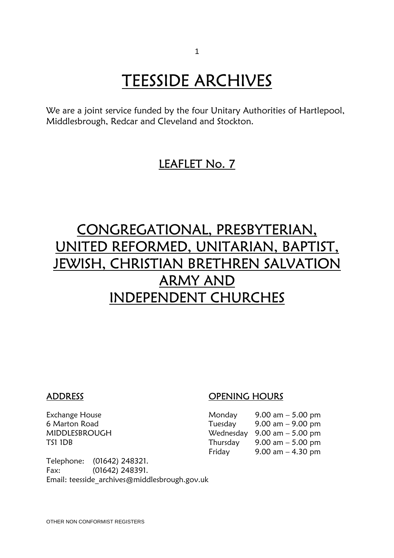# TEESSIDE ARCHIVES<br>We are a joint service funded by the four Unitary Authorities of Hartlepool,

Middlesbrough, Redcar and Cleveland and Stockton.

## LEAFLET No. 7

## CONGREGATIONAL, PRESBYTERIAN, UNITED REFORMED, UNITARIAN, BAPTIST, JEWISH, CHRISTIAN BRETHREN SALVATION ARMY AND INDEPENDENT CHURCHES

### ADDRESS OPENING HOURS

| Exchange House | Monday  | $9.00 \text{ am} - 5.00 \text{ pm}$           |
|----------------|---------|-----------------------------------------------|
| 6 Marton Road  | Tuesday | $9.00 \text{ am} - 9.00 \text{ pm}$           |
| MIDDLESBROUGH  |         | Wednesday $9.00 \text{ am} - 5.00 \text{ pm}$ |
| TS1 1DB        |         | Thursday $9.00 \text{ am} - 5.00 \text{ pm}$  |
|                | Fridav  | $9.00$ am $-4.30$ pm                          |
|                |         |                                               |

Telephone: (01642) 248321. Fax: (01642) 248391. Email: teesside\_archives@middlesbrough.gov.uk

OTHER NON CONFORMIST REGISTERS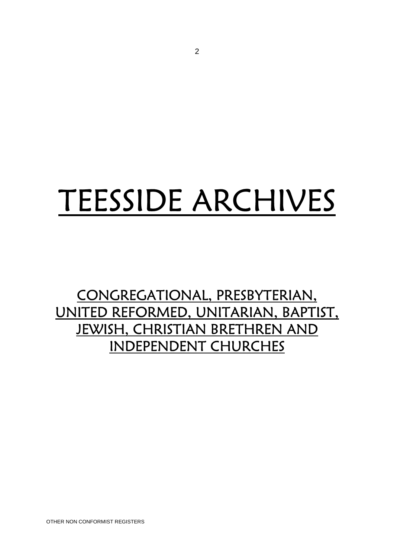# TEESSIDE ARCHIVES

CONGREGATIONAL, PRESBYTERIAN, UNITED REFORMED, UNITARIAN, BAPTIST, JEWISH, CHRISTIAN BRETHREN AND INDEPENDENT CHURCHES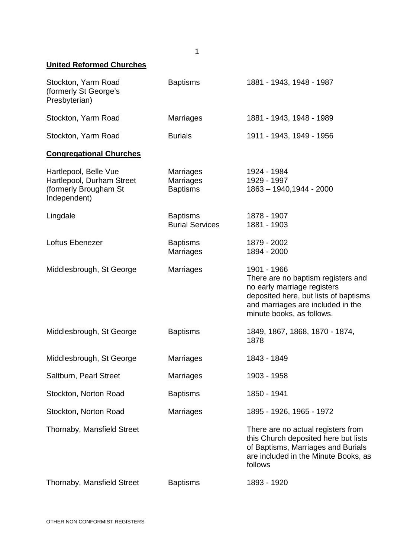| <b>United Reformed Churches</b>                                                             |                                                  |                                                                                                                                                                                             |
|---------------------------------------------------------------------------------------------|--------------------------------------------------|---------------------------------------------------------------------------------------------------------------------------------------------------------------------------------------------|
| Stockton, Yarm Road<br>(formerly St George's<br>Presbyterian)                               | <b>Baptisms</b>                                  | 1881 - 1943, 1948 - 1987                                                                                                                                                                    |
| Stockton, Yarm Road                                                                         | <b>Marriages</b>                                 | 1881 - 1943, 1948 - 1989                                                                                                                                                                    |
| Stockton, Yarm Road                                                                         | <b>Burials</b>                                   | 1911 - 1943, 1949 - 1956                                                                                                                                                                    |
| <b>Congregational Churches</b>                                                              |                                                  |                                                                                                                                                                                             |
| Hartlepool, Belle Vue<br>Hartlepool, Durham Street<br>(formerly Brougham St<br>Independent) | Marriages<br><b>Marriages</b><br><b>Baptisms</b> | 1924 - 1984<br>1929 - 1997<br>1863 - 1940,1944 - 2000                                                                                                                                       |
| Lingdale                                                                                    | <b>Baptisms</b><br><b>Burial Services</b>        | 1878 - 1907<br>1881 - 1903                                                                                                                                                                  |
| Loftus Ebenezer                                                                             | <b>Baptisms</b><br><b>Marriages</b>              | 1879 - 2002<br>1894 - 2000                                                                                                                                                                  |
| Middlesbrough, St George                                                                    | Marriages                                        | 1901 - 1966<br>There are no baptism registers and<br>no early marriage registers<br>deposited here, but lists of baptisms<br>and marriages are included in the<br>minute books, as follows. |
| Middlesbrough, St George                                                                    | <b>Baptisms</b>                                  | 1849, 1867, 1868, 1870 - 1874,<br>1878                                                                                                                                                      |
| Middlesbrough, St George                                                                    | <b>Marriages</b>                                 | 1843 - 1849                                                                                                                                                                                 |
| Saltburn, Pearl Street                                                                      | Marriages                                        | 1903 - 1958                                                                                                                                                                                 |
| Stockton, Norton Road                                                                       | <b>Baptisms</b>                                  | 1850 - 1941                                                                                                                                                                                 |
| Stockton, Norton Road                                                                       | Marriages                                        | 1895 - 1926, 1965 - 1972                                                                                                                                                                    |
| Thornaby, Mansfield Street                                                                  |                                                  | There are no actual registers from<br>this Church deposited here but lists<br>of Baptisms, Marriages and Burials<br>are included in the Minute Books, as<br>follows                         |
| Thornaby, Mansfield Street                                                                  | <b>Baptisms</b>                                  | 1893 - 1920                                                                                                                                                                                 |

1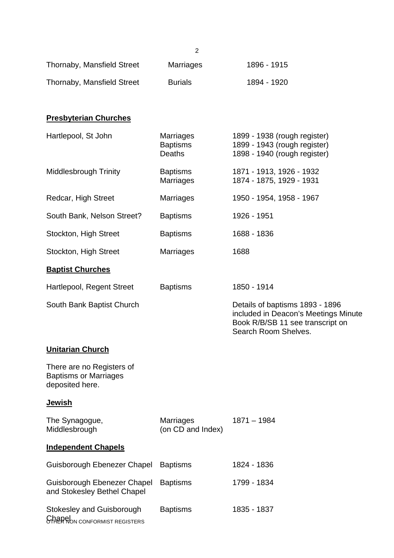|                                                                              | $\overline{c}$                                |                                                                                                                                     |
|------------------------------------------------------------------------------|-----------------------------------------------|-------------------------------------------------------------------------------------------------------------------------------------|
| Thornaby, Mansfield Street                                                   | <b>Marriages</b>                              | 1896 - 1915                                                                                                                         |
| Thornaby, Mansfield Street                                                   | <b>Burials</b>                                | 1894 - 1920                                                                                                                         |
| <b>Presbyterian Churches</b>                                                 |                                               |                                                                                                                                     |
| Hartlepool, St John                                                          | Marriages<br><b>Baptisms</b><br><b>Deaths</b> | 1899 - 1938 (rough register)<br>1899 - 1943 (rough register)<br>1898 - 1940 (rough register)                                        |
| <b>Middlesbrough Trinity</b>                                                 | <b>Baptisms</b><br>Marriages                  | 1871 - 1913, 1926 - 1932<br>1874 - 1875, 1929 - 1931                                                                                |
| Redcar, High Street                                                          | <b>Marriages</b>                              | 1950 - 1954, 1958 - 1967                                                                                                            |
| South Bank, Nelson Street?                                                   | <b>Baptisms</b>                               | 1926 - 1951                                                                                                                         |
| Stockton, High Street                                                        | <b>Baptisms</b>                               | 1688 - 1836                                                                                                                         |
| Stockton, High Street                                                        | <b>Marriages</b>                              | 1688                                                                                                                                |
| <b>Baptist Churches</b>                                                      |                                               |                                                                                                                                     |
| Hartlepool, Regent Street                                                    | <b>Baptisms</b>                               | 1850 - 1914                                                                                                                         |
| South Bank Baptist Church                                                    |                                               | Details of baptisms 1893 - 1896<br>included in Deacon's Meetings Minute<br>Book R/B/SB 11 see transcript on<br>Search Room Shelves. |
| <b>Unitarian Church</b>                                                      |                                               |                                                                                                                                     |
| There are no Registers of<br><b>Baptisms or Marriages</b><br>deposited here. |                                               |                                                                                                                                     |
| <b>Jewish</b>                                                                |                                               |                                                                                                                                     |
| The Synagogue,<br>Middlesbrough                                              | <b>Marriages</b><br>(on CD and Index)         | $1871 - 1984$                                                                                                                       |
| <b>Independent Chapels</b>                                                   |                                               |                                                                                                                                     |
| Guisborough Ebenezer Chapel                                                  | <b>Baptisms</b>                               | 1824 - 1836                                                                                                                         |
| Guisborough Ebenezer Chapel<br>and Stokesley Bethel Chapel                   | <b>Baptisms</b>                               | 1799 - 1834                                                                                                                         |
| Stokesley and Guisborough<br><b>CHARRION CONFORMIST REGISTERS</b>            | <b>Baptisms</b>                               | 1835 - 1837                                                                                                                         |